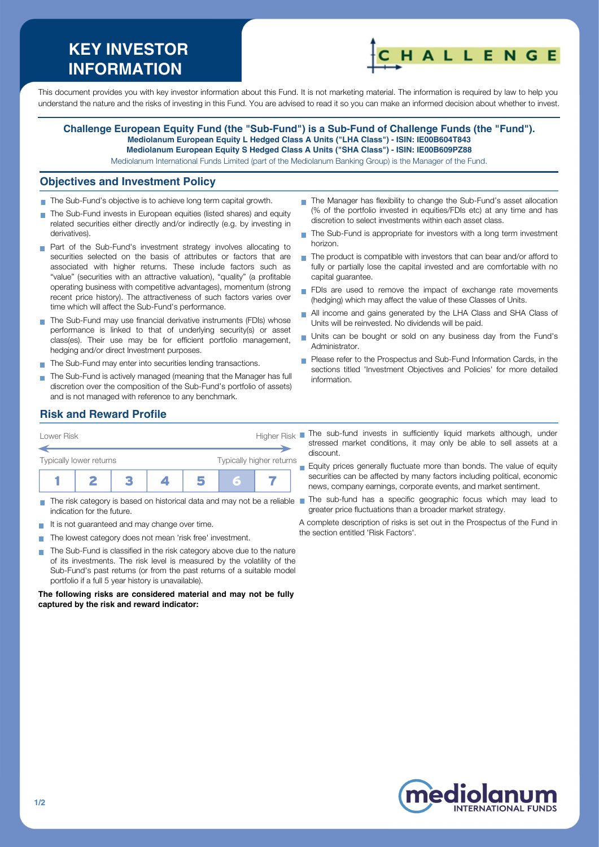# **KEY INVESTOR INFORMATION**



This document provides you with key investor information about this Fund. It is not marketing material. The information is required by law to help you understand the nature and the risks of investing in this Fund. You are advised to read it so you can make an informed decision about whether to invest.

### **Challenge European Equity Fund (the "Sub-Fund") is a Sub-Fund of Challenge Funds (the "Fund"). Mediolanum European Equity L Hedged Class A Units ("LHA Class") - ISIN: IE00B604T843 Mediolanum European Equity S Hedged Class A Units ("SHA Class") - ISIN: IE00B609PZ88**

Mediolanum International Funds Limited (part of the Mediolanum Banking Group) is the Manager of the Fund.

#### **Objectives and Investment Policy**

- The Sub-Fund's objective is to achieve long term capital growth.
- The Sub-Fund invests in European equities (listed shares) and equity related securities either directly and/or indirectly (e.g. by investing in derivatives).
- **Part of the Sub-Fund's investment strategy involves allocating to** securities selected on the basis of attributes or factors that are associated with higher returns. These include factors such as "value" (securities with an attractive valuation), "quality" (a profitable operating business with competitive advantages), momentum (strong recent price history). The attractiveness of such factors varies over time which will affect the Sub-Fund's performance.
- The Sub-Fund may use financial derivative instruments (FDIs) whose performance is linked to that of underlying security(s) or asset class(es). Their use may be for efficient portfolio management, hedging and/or direct Investment purposes.
- The Sub-Fund may enter into securities lending transactions.
- The Sub-Fund is actively managed (meaning that the Manager has full discretion over the composition of the Sub-Fund's portfolio of assets) and is not managed with reference to any benchmark.
- The Manager has flexibility to change the Sub-Fund's asset allocation (% of the portfolio invested in equities/FDIs etc) at any time and has discretion to select investments within each asset class.
- The Sub-Fund is appropriate for investors with a long term investment  $\overline{\phantom{a}}$ horizon.
- $\blacksquare$  The product is compatible with investors that can bear and/or afford to fully or partially lose the capital invested and are comfortable with no capital guarantee.
- FDIs are used to remove the impact of exchange rate movements (hedging) which may affect the value of these Classes of Units.
- All income and gains generated by the LHA Class and SHA Class of  $\overline{\phantom{a}}$ Units will be reinvested. No dividends will be paid.
- Units can be bought or sold on any business day from the Fund's Administrator.
- **Please refer to the Prospectus and Sub-Fund Information Cards, in the** sections titled 'Investment Objectives and Policies' for more detailed information.

# **Risk and Reward Profile**



- indication for the future.
- It is not quaranteed and may change over time.
- The lowest category does not mean 'risk free' investment.  $\mathcal{L}_{\mathcal{A}}$
- The Sub-Fund is classified in the risk category above due to the nature **T** of its investments. The risk level is measured by the volatility of the Sub-Fund's past returns (or from the past returns of a suitable model portfolio if a full 5 year history is unavailable).

**The following risks are considered material and may not be fully captured by the risk and reward indicator:**

stressed market conditions, it may only be able to sell assets at a discount.

**Equity prices generally fluctuate more than bonds. The value of equity** securities can be affected by many factors including political, economic news, company earnings, corporate events, and market sentiment.

- The risk category is based on historical data and may not be a reliable The sub-fund has a specific geographic focus which may lead to greater price fluctuations than a broader market strategy.
	- A complete description of risks is set out in the Prospectus of the Fund in the section entitled 'Risk Factors'.